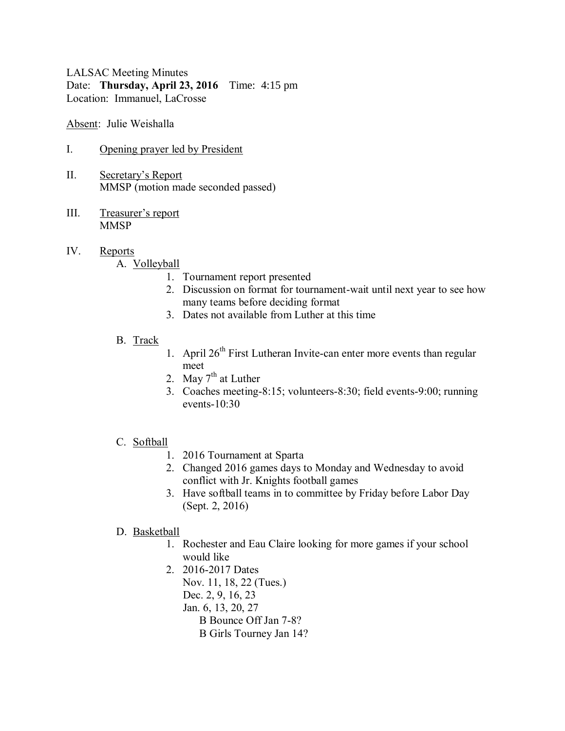LALSAC Meeting Minutes Date: **Thursday, April 23, 2016** Time: 4:15 pm Location: Immanuel, LaCrosse

Absent: Julie Weishalla

- I. Opening prayer led by President
- II. Secretary's Report MMSP (motion made seconded passed)
- III. Treasurer's report **MMSP**

# IV. Reports

#### A. Volleyball

- 1. Tournament report presented
- 2. Discussion on format for tournament-wait until next year to see how many teams before deciding format
- 3. Dates not available from Luther at this time
- B. Track
- 1. April  $26<sup>th</sup>$  First Lutheran Invite-can enter more events than regular meet
- 2. May  $7<sup>th</sup>$  at Luther
- 3. Coaches meeting-8:15; volunteers-8:30; field events-9:00; running events-10:30

# C. Softball

- 1. 2016 Tournament at Sparta
- 2. Changed 2016 games days to Monday and Wednesday to avoid conflict with Jr. Knights football games
- 3. Have softball teams in to committee by Friday before Labor Day (Sept. 2, 2016)

#### D. Basketball

- 1. Rochester and Eau Claire looking for more games if your school would like
- 2. 2016-2017 Dates Nov. 11, 18, 22 (Tues.) Dec. 2, 9, 16, 23 Jan. 6, 13, 20, 27 B Bounce Off Jan 7-8? B Girls Tourney Jan 14?